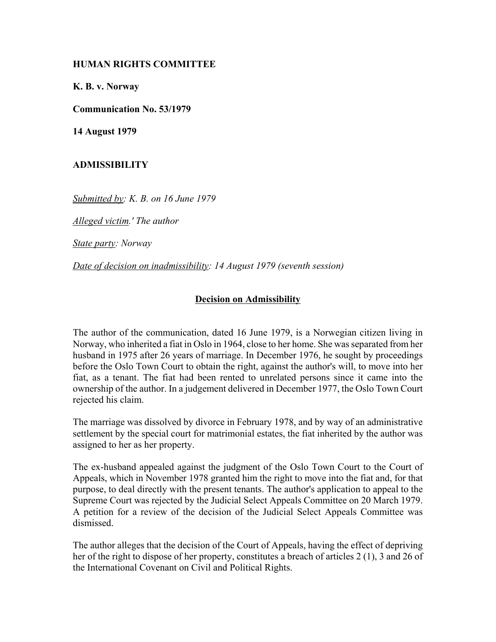## **HUMAN RIGHTS COMMITTEE**

**K. B. v. Norway**

**Communication No. 53/1979**

**14 August 1979**

## **ADMISSIBILITY**

*Submitted by: K. B. on 16 June 1979* 

*Alleged victim.' The author* 

*State party: Norway* 

*Date of decision on inadmissibility: 14 August 1979 (seventh session)* 

## **Decision on Admissibility**

The author of the communication, dated 16 June 1979, is a Norwegian citizen living in Norway, who inherited a fiat in Oslo in 1964, close to her home. She was separated from her husband in 1975 after 26 years of marriage. In December 1976, he sought by proceedings before the Oslo Town Court to obtain the right, against the author's will, to move into her fiat, as a tenant. The fiat had been rented to unrelated persons since it came into the ownership of the author. In a judgement delivered in December 1977, the Oslo Town Court rejected his claim.

The marriage was dissolved by divorce in February 1978, and by way of an administrative settlement by the special court for matrimonial estates, the fiat inherited by the author was assigned to her as her property.

The ex-husband appealed against the judgment of the Oslo Town Court to the Court of Appeals, which in November 1978 granted him the right to move into the fiat and, for that purpose, to deal directly with the present tenants. The author's application to appeal to the Supreme Court was rejected by the Judicial Select Appeals Committee on 20 March 1979. A petition for a review of the decision of the Judicial Select Appeals Committee was dismissed.

The author alleges that the decision of the Court of Appeals, having the effect of depriving her of the right to dispose of her property, constitutes a breach of articles 2 (1), 3 and 26 of the International Covenant on Civil and Political Rights.